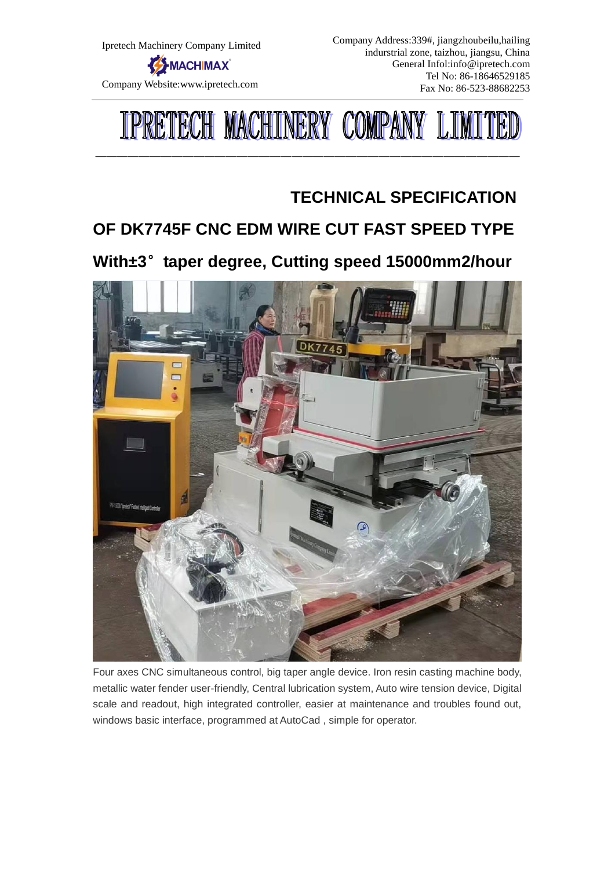

Company Address:339#, jiangzhoubeilu,hailing indurstrial zone, taizhou, jiangsu, China General Infol:info@ipretech.com Tel No: 86-18646529185 Fax No: 86-523-88682253



———————————————————————————————————————

## **TECHNICAL SPECIFICATION**

# **OF DK7745F CNC EDM WIRE CUT FAST SPEED TYPE**

**With±3**°**taper degree, Cutting speed 15000mm2/hour**



Four axes CNC simultaneous control, big taper angle device. Iron resin casting machine body, metallic water fender user-friendly, Central lubrication system, Auto wire tension device, Digital scale and readout, high integrated controller, easier at maintenance and troubles found out, windows basic interface, programmed at AutoCad , simple for operator.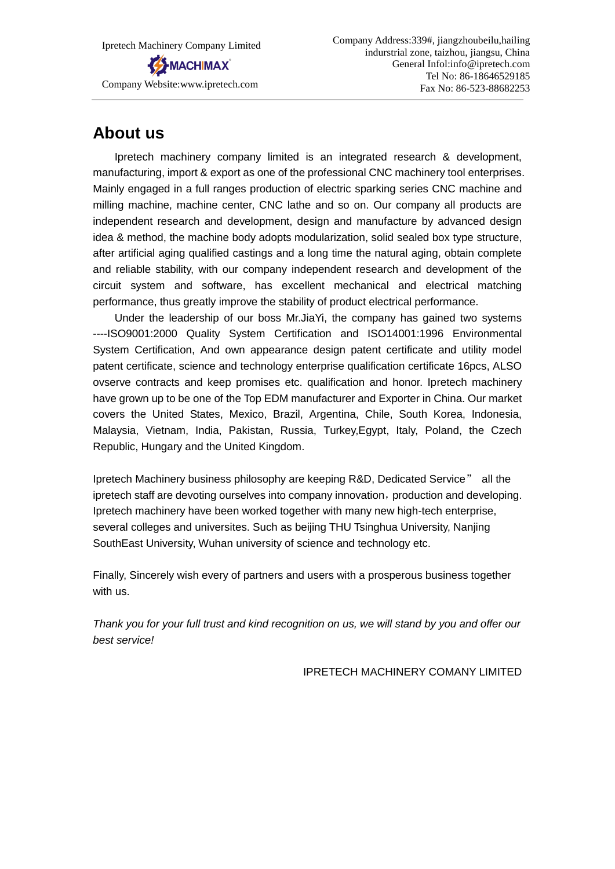Ipretech Machinery Company Limited MACHIMAX Company Website:www.ipretech.com

## **About us**

Ipretech machinery company limited is an integrated research & development, manufacturing, import & export as one of the professional CNC machinery tool enterprises. Mainly engaged in a full ranges production of electric sparking series CNC machine and milling machine, machine center, CNC lathe and so on. Our company all products are independent research and development, design and manufacture by advanced design idea & method, the machine body adopts modularization, solid sealed box type structure, after artificial aging qualified castings and a long time the natural aging, obtain complete and reliable stability, with our company independent research and development of the circuit system and software, has excellent mechanical and electrical matching performance, thus greatly improve the stability of product electrical performance.

Under the leadership of our boss Mr.JiaYi, the company has gained two systems ----ISO9001:2000 Quality System Certification and ISO14001:1996 Environmental System Certification, And own appearance design patent certificate and utility model patent certificate, science and technology enterprise qualification certificate 16pcs, ALSO ovserve contracts and keep promises etc. qualification and honor. Ipretech machinery have grown up to be one of the Top EDM manufacturer and Exporter in China. Our market covers the United States, Mexico, Brazil, Argentina, Chile, South Korea, Indonesia, Malaysia, Vietnam, India, Pakistan, Russia, Turkey,Egypt, Italy, Poland, the Czech Republic, Hungary and the United Kingdom.

Ipretech Machinery business philosophy are keeping R&D, Dedicated Service" all the ipretech staff are devoting ourselves into company innovation, production and developing. Ipretech machinery have been worked together with many new high-tech enterprise, several colleges and universites. Such as beijing THU Tsinghua University, Nanjing SouthEast University, Wuhan university of science and technology etc.

Finally, Sincerely wish every of partners and users with a prosperous business together with us.

*Thank you for your full trust and kind recognition on us, we will stand by you and offer our best service!*

IPRETECH MACHINERY COMANY LIMITED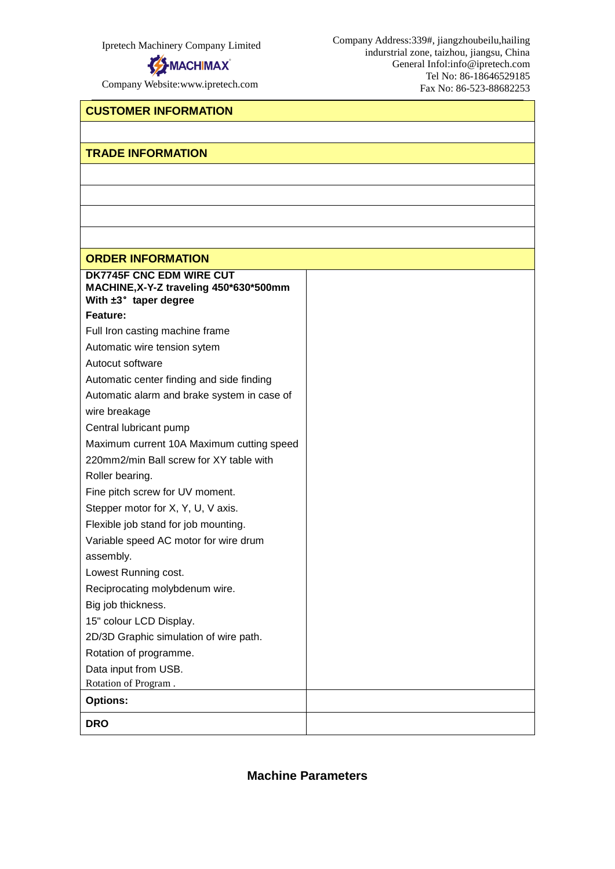

Company Website:www.ipretech.com

Company Address:339#, jiangzhoubeilu,hailing indurstrial zone, taizhou, jiangsu, China General Infol:info@ipretech.com Tel No: 86-18646529185 Fax No: 86-523-88682253

#### **CUSTOMER INFORMATION**

#### **TRADE INFORMATION**

#### **ORDER INFORMATION**

**DRO**

| <b>ORDER INFORMATION</b>                                           |  |
|--------------------------------------------------------------------|--|
| DK7745F CNC EDM WIRE CUT<br>MACHINE, X-Y-Z traveling 450*630*500mm |  |
| With $\pm 3^\circ$ taper degree                                    |  |
| Feature:                                                           |  |
| Full Iron casting machine frame                                    |  |
| Automatic wire tension sytem                                       |  |
| Autocut software                                                   |  |
| Automatic center finding and side finding                          |  |
| Automatic alarm and brake system in case of                        |  |
| wire breakage                                                      |  |
| Central lubricant pump                                             |  |
| Maximum current 10A Maximum cutting speed                          |  |
| 220mm2/min Ball screw for XY table with                            |  |
| Roller bearing.                                                    |  |
| Fine pitch screw for UV moment.                                    |  |
| Stepper motor for X, Y, U, V axis.                                 |  |
| Flexible job stand for job mounting.                               |  |
| Variable speed AC motor for wire drum                              |  |
| assembly.                                                          |  |
| Lowest Running cost.                                               |  |
| Reciprocating molybdenum wire.                                     |  |
| Big job thickness.                                                 |  |
| 15" colour LCD Display.                                            |  |
| 2D/3D Graphic simulation of wire path.                             |  |
| Rotation of programme.                                             |  |
| Data input from USB.                                               |  |
| Rotation of Program.                                               |  |
| <b>Options:</b>                                                    |  |
|                                                                    |  |

**Machine Parameters**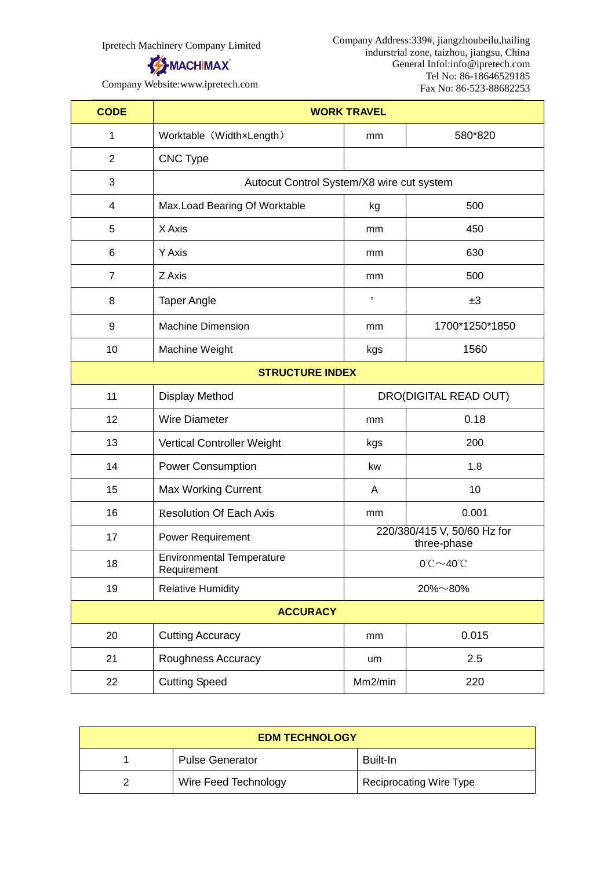

Company Address:339#, jiangzhoubeilu,hailing indurstrial zone, taizhou, jiangsu, China General Infol:info@ipretech.com Tel No: 86-18646529185 Fax No: 86-523-88682253

Company Website:www.ipretech.com

| <b>CODE</b>            | <b>WORK TRAVEL</b>                              |                                           |                                            |  |
|------------------------|-------------------------------------------------|-------------------------------------------|--------------------------------------------|--|
| 1                      | Worktable (WidthxLength)                        | mm                                        | 580*820                                    |  |
| $\overline{2}$         | <b>CNC Type</b>                                 |                                           |                                            |  |
| 3                      |                                                 | Autocut Control System/X8 wire cut system |                                            |  |
| 4                      | Max.Load Bearing Of Worktable                   | kg                                        | 500                                        |  |
| 5                      | X Axis                                          | mm                                        | 450                                        |  |
| 6                      | Y Axis                                          | mm                                        | 630                                        |  |
| $\overline{7}$         | Z Axis                                          | mm                                        | 500                                        |  |
| 8                      | <b>Taper Angle</b>                              | $\circ$                                   | ±3                                         |  |
| 9                      | <b>Machine Dimension</b>                        | mm                                        | 1700*1250*1850                             |  |
| 10                     | Machine Weight                                  | kgs                                       | 1560                                       |  |
| <b>STRUCTURE INDEX</b> |                                                 |                                           |                                            |  |
| 11                     | Display Method                                  |                                           | DRO(DIGITAL READ OUT)                      |  |
| 12                     | <b>Wire Diameter</b>                            | mm                                        | 0.18                                       |  |
| 13                     | Vertical Controller Weight                      | kgs                                       | 200                                        |  |
| 14                     | <b>Power Consumption</b>                        | kw                                        | 1.8                                        |  |
| 15                     | <b>Max Working Current</b>                      | A                                         | 10                                         |  |
| 16                     | <b>Resolution Of Each Axis</b>                  | mm                                        | 0.001                                      |  |
| 17                     | Power Requirement                               |                                           | 220/380/415 V, 50/60 Hz for<br>three-phase |  |
| 18                     | <b>Environmental Temperature</b><br>Requirement |                                           | $0^\circ C \sim 40^\circ C$                |  |
| 19                     | <b>Relative Humidity</b>                        |                                           | 20%~80%                                    |  |
| <b>ACCURACY</b>        |                                                 |                                           |                                            |  |
| 20                     | <b>Cutting Accuracy</b>                         | mm                                        | 0.015                                      |  |
| 21                     | Roughness Accuracy                              | um                                        | 2.5                                        |  |
| 22                     | <b>Cutting Speed</b>                            | Mm2/min                                   | 220                                        |  |

| <b>EDM TECHNOLOGY</b> |                        |                                |
|-----------------------|------------------------|--------------------------------|
|                       | <b>Pulse Generator</b> | Built-In                       |
|                       | Wire Feed Technology   | <b>Reciprocating Wire Type</b> |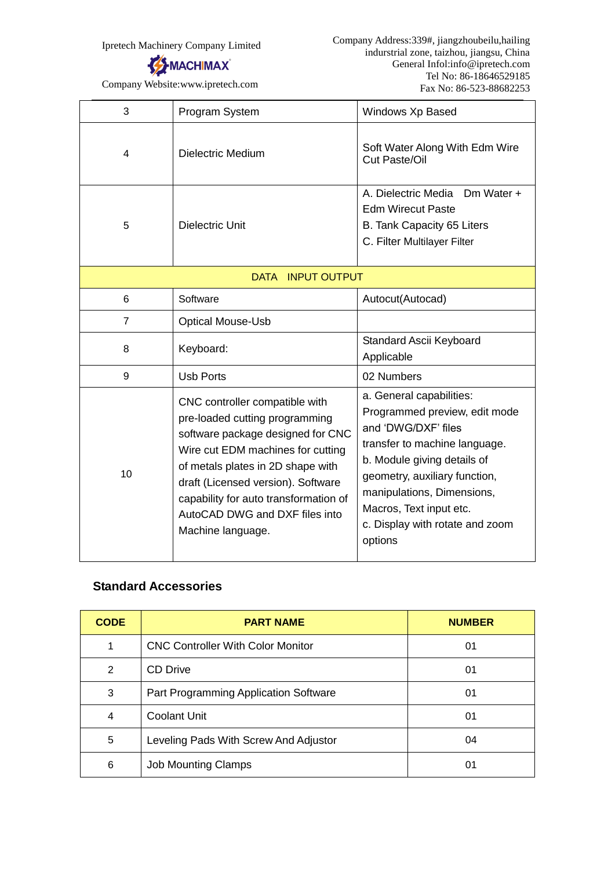

Company Website:www.ipretech.com

| 3                                  | Program System                                                                                                                                                                                                                                                                                                        | Windows Xp Based                                                                                                                                                                                                                                                                         |  |
|------------------------------------|-----------------------------------------------------------------------------------------------------------------------------------------------------------------------------------------------------------------------------------------------------------------------------------------------------------------------|------------------------------------------------------------------------------------------------------------------------------------------------------------------------------------------------------------------------------------------------------------------------------------------|--|
| 4                                  | <b>Dielectric Medium</b>                                                                                                                                                                                                                                                                                              | Soft Water Along With Edm Wire<br>Cut Paste/Oil                                                                                                                                                                                                                                          |  |
| 5                                  | <b>Dielectric Unit</b>                                                                                                                                                                                                                                                                                                | A. Dielectric Media<br>Dm Water $+$<br><b>Edm Wirecut Paste</b><br>B. Tank Capacity 65 Liters<br>C. Filter Multilayer Filter                                                                                                                                                             |  |
| <b>INPUT OUTPUT</b><br><b>DATA</b> |                                                                                                                                                                                                                                                                                                                       |                                                                                                                                                                                                                                                                                          |  |
| 6                                  | Software                                                                                                                                                                                                                                                                                                              | Autocut(Autocad)                                                                                                                                                                                                                                                                         |  |
| $\overline{7}$                     | <b>Optical Mouse-Usb</b>                                                                                                                                                                                                                                                                                              |                                                                                                                                                                                                                                                                                          |  |
| 8                                  | Keyboard:                                                                                                                                                                                                                                                                                                             | Standard Ascii Keyboard<br>Applicable                                                                                                                                                                                                                                                    |  |
| 9                                  | <b>Usb Ports</b>                                                                                                                                                                                                                                                                                                      | 02 Numbers                                                                                                                                                                                                                                                                               |  |
| 10                                 | CNC controller compatible with<br>pre-loaded cutting programming<br>software package designed for CNC<br>Wire cut EDM machines for cutting<br>of metals plates in 2D shape with<br>draft (Licensed version). Software<br>capability for auto transformation of<br>AutoCAD DWG and DXF files into<br>Machine language. | a. General capabilities:<br>Programmed preview, edit mode<br>and 'DWG/DXF' files<br>transfer to machine language.<br>b. Module giving details of<br>geometry, auxiliary function,<br>manipulations, Dimensions,<br>Macros, Text input etc.<br>c. Display with rotate and zoom<br>options |  |

### **Standard Accessories**

| <b>CODE</b> | <b>PART NAME</b>                         | <b>NUMBER</b> |
|-------------|------------------------------------------|---------------|
|             | <b>CNC Controller With Color Monitor</b> | 01            |
| 2           | <b>CD Drive</b>                          | 01            |
| 3           | Part Programming Application Software    | 01            |
| 4           | <b>Coolant Unit</b>                      | 01            |
| 5           | Leveling Pads With Screw And Adjustor    | 04            |
| 6           | <b>Job Mounting Clamps</b>               | 01            |